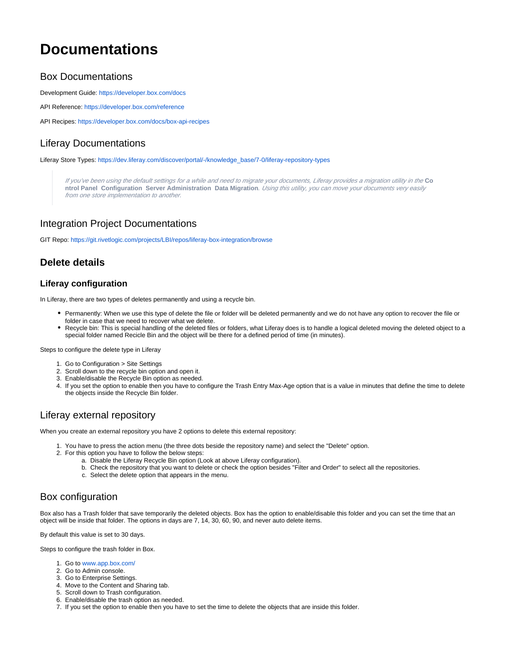# **Documentations**

### Box Documentations

Development Guide:<https://developer.box.com/docs>

API Reference: <https://developer.box.com/reference>

API Recipes:<https://developer.box.com/docs/box-api-recipes>

# Liferay Documentations

Liferay Store Types: [https://dev.liferay.com/discover/portal/-/knowledge\\_base/7-0/liferay-repository-types](https://dev.liferay.com/discover/portal/-/knowledge_base/7-0/liferay-repository-types)

If you've been using the default settings for a while and need to migrate your documents, Liferay provides a migration utility in the **Co ntrol Panel Configuration Server Administration Data Migration**. Using this utility, you can move your documents very easily from one store implementation to another.

## Integration Project Documentations

GIT Repo: <https://git.rivetlogic.com/projects/LBI/repos/liferay-box-integration/browse>

# **Delete details**

#### **Liferay configuration**

In Liferay, there are two types of deletes permanently and using a recycle bin.

- Permanently: When we use this type of delete the file or folder will be deleted permanently and we do not have any option to recover the file or folder in case that we need to recover what we delete.
- Recycle bin: This is special handling of the deleted files or folders, what Liferay does is to handle a logical deleted moving the deleted object to a special folder named Recicle Bin and the object will be there for a defined period of time (in minutes).

Steps to configure the delete type in Liferay

- 1. Go to Configuration > Site Settings
- 2. Scroll down to the recycle bin option and open it.
- 3. Enable/disable the Recycle Bin option as needed.
- 4. If you set the option to enable then you have to configure the Trash Entry Max-Age option that is a value in minutes that define the time to delete the objects inside the Recycle Bin folder.

## Liferay external repository

When you create an external repository you have 2 options to delete this external repository:

- 1. You have to press the action menu (the three dots beside the repository name) and select the "Delete" option.
- 2. For this option you have to follow the below steps:
	- a. Disable the Liferay Recycle Bin option (Look at above Liferay configuration).
	- b. Check the repository that you want to delete or check the option besides "Filter and Order" to select all the repositories.
	- c. Select the delete option that appears in the menu.

## Box configuration

Box also has a Trash folder that save temporarily the deleted objects. Box has the option to enable/disable this folder and you can set the time that an object will be inside that folder. The options in days are 7, 14, 30, 60, 90, and never auto delete items.

By default this value is set to 30 days.

Steps to configure the trash folder in Box.

- 1. Go to [www.app.box.com/](http://www.app.box.com/)
- 2. Go to Admin console.
- 3. Go to Enterprise Settings.
- 4. Move to the Content and Sharing tab.
- 5. Scroll down to Trash configuration.
- 6. Enable/disable the trash option as needed.
- 7. If you set the option to enable then you have to set the time to delete the objects that are inside this folder.